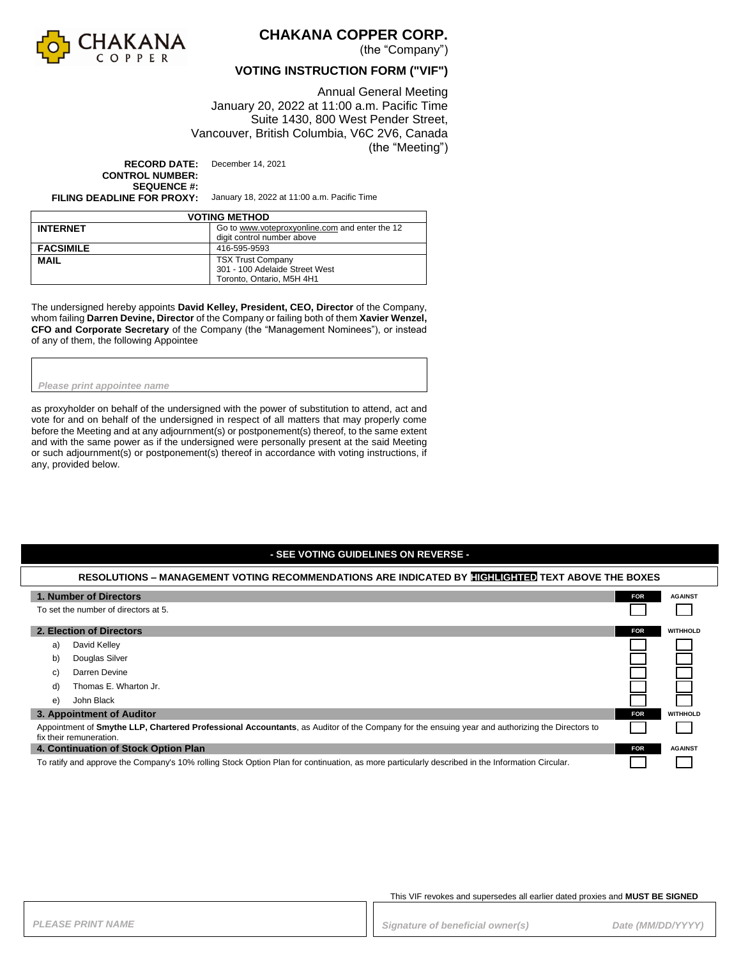

## **CHAKANA COPPER CORP.**

(the "Company")

### **VOTING INSTRUCTION FORM ("VIF")**

Annual General Meeting January 20, 2022 at 11:00 a.m. Pacific Time Suite 1430, 800 West Pender Street, Vancouver, British Columbia, V6C 2V6, Canada (the "Meeting")

**RECORD DATE:** December 14, 2021 **CONTROL NUMBER: SEQUENCE #:**<br>FILING DEADLINE FOR PROXY:

**FILING DEADLINE FOR PROXY:** January 18, 2022 at 11:00 a.m. Pacific Time

| <b>VOTING METHOD</b> |                                                                              |  |  |
|----------------------|------------------------------------------------------------------------------|--|--|
| <b>INTERNET</b>      | Go to www.voteproxyonline.com and enter the 12<br>digit control number above |  |  |
|                      | 416-595-9593                                                                 |  |  |
| <b>FACSIMILE</b>     |                                                                              |  |  |
| <b>MAIL</b>          | <b>TSX Trust Company</b>                                                     |  |  |
|                      | 301 - 100 Adelaide Street West                                               |  |  |
|                      | Toronto. Ontario. M5H 4H1                                                    |  |  |

The undersigned hereby appoints **David Kelley, President, CEO, Director** of the Company, whom failing **Darren Devine, Director** of the Company or failing both of them **Xavier Wenzel, CFO and Corporate Secretary** of the Company (the "Management Nominees"), or instead of any of them, the following Appointee

*Please print appointee name*

as proxyholder on behalf of the undersigned with the power of substitution to attend, act and vote for and on behalf of the undersigned in respect of all matters that may properly come before the Meeting and at any adjournment(s) or postponement(s) thereof, to the same extent and with the same power as if the undersigned were personally present at the said Meeting or such adjournment(s) or postponement(s) thereof in accordance with voting instructions, if any, provided below.

### **- SEE VOTING GUIDELINES ON REVERSE -**

### **RESOLUTIONS – MANAGEMENT VOTING RECOMMENDATIONS ARE INDICATED BY HIGHLIGHTED TEXT ABOVE THE BOXES**

|                                                                                                                                                                           | 1. Number of Directors    | <b>FOR</b> | <b>AGAINST</b>  |
|---------------------------------------------------------------------------------------------------------------------------------------------------------------------------|---------------------------|------------|-----------------|
| To set the number of directors at 5.                                                                                                                                      |                           |            |                 |
|                                                                                                                                                                           |                           |            |                 |
|                                                                                                                                                                           | 2. Election of Directors  | <b>FOR</b> | <b>WITHHOLD</b> |
| a)                                                                                                                                                                        | David Kelley              |            |                 |
| b)                                                                                                                                                                        | Douglas Silver            |            |                 |
| C)                                                                                                                                                                        | Darren Devine             |            |                 |
| d)                                                                                                                                                                        | Thomas E. Wharton Jr.     |            |                 |
| e)                                                                                                                                                                        | John Black                |            |                 |
|                                                                                                                                                                           | 3. Appointment of Auditor | <b>FOR</b> | <b>WITHHOLD</b> |
| Appointment of Smythe LLP, Chartered Professional Accountants, as Auditor of the Company for the ensuing year and authorizing the Directors to<br>fix their remuneration. |                           |            |                 |
| 4. Continuation of Stock Option Plan                                                                                                                                      |                           | <b>FOR</b> | <b>AGAINST</b>  |
| To ratify and approve the Company's 10% rolling Stock Option Plan for continuation, as more particularly described in the Information Circular.                           |                           |            |                 |

This VIF revokes and supersedes all earlier dated proxies and **MUST BE SIGNED**

PLEASE PRINT NAME *PLEASE PRINT NAME PLEASE PRINT NAME Date (MM/DD/YYYY)*